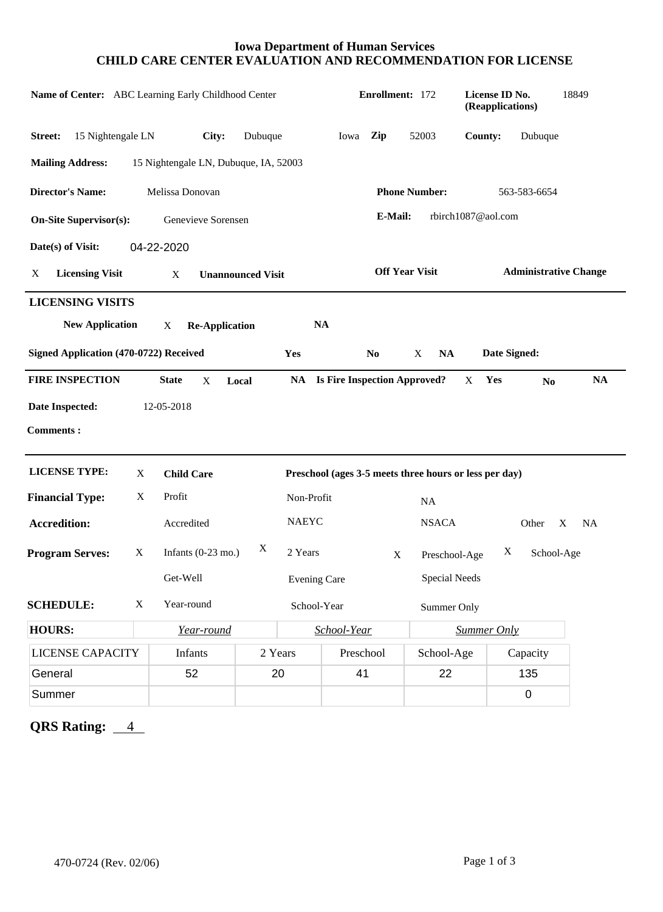## **Iowa Department of Human Services CHILD CARE CENTER EVALUATION AND RECOMMENDATION FOR LICENSE**

| Name of Center: ABC Learning Early Childhood Center                                  |                               |                                       |                       |                                                        | Enrollment: 172                        |                |                      | License ID No.<br>(Reapplications) |                 | 18849          |
|--------------------------------------------------------------------------------------|-------------------------------|---------------------------------------|-----------------------|--------------------------------------------------------|----------------------------------------|----------------|----------------------|------------------------------------|-----------------|----------------|
| 15 Nightengale LN<br>Street:                                                         |                               | City:                                 | Dubuque               |                                                        | Iowa                                   | Zip            | 52003                | County:                            | Dubuque         |                |
| <b>Mailing Address:</b>                                                              |                               | 15 Nightengale LN, Dubuque, IA, 52003 |                       |                                                        |                                        |                |                      |                                    |                 |                |
| Melissa Donovan<br><b>Director's Name:</b>                                           |                               |                                       |                       |                                                        | <b>Phone Number:</b><br>563-583-6654   |                |                      |                                    |                 |                |
| E-Mail:<br>rbirch1087@aol.com<br><b>On-Site Supervisor(s):</b><br>Genevieve Sorensen |                               |                                       |                       |                                                        |                                        |                |                      |                                    |                 |                |
| Date(s) of Visit:                                                                    |                               | 04-22-2020                            |                       |                                                        |                                        |                |                      |                                    |                 |                |
| <b>Licensing Visit</b><br>X                                                          | X<br><b>Unannounced Visit</b> |                                       |                       |                                                        | <b>Off Year Visit</b>                  |                |                      | <b>Administrative Change</b>       |                 |                |
| <b>LICENSING VISITS</b><br><b>New Application</b>                                    |                               | X                                     | <b>Re-Application</b> |                                                        | <b>NA</b>                              |                |                      |                                    |                 |                |
| Signed Application (470-0722) Received                                               |                               |                                       |                       | Yes                                                    |                                        | N <sub>0</sub> | X<br><b>NA</b>       |                                    | Date Signed:    |                |
| <b>FIRE INSPECTION</b>                                                               |                               | <b>State</b><br>X                     | Local                 |                                                        | <b>NA</b> Is Fire Inspection Approved? |                |                      | Yes<br>X                           | N <sub>0</sub>  | <b>NA</b>      |
| Date Inspected:                                                                      |                               | 12-05-2018                            |                       |                                                        |                                        |                |                      |                                    |                 |                |
| <b>Comments:</b>                                                                     |                               |                                       |                       |                                                        |                                        |                |                      |                                    |                 |                |
| <b>LICENSE TYPE:</b>                                                                 | X                             | <b>Child Care</b>                     |                       | Preschool (ages 3-5 meets three hours or less per day) |                                        |                |                      |                                    |                 |                |
| <b>Financial Type:</b>                                                               | X                             | Profit                                |                       | Non-Profit                                             |                                        |                | <b>NA</b>            |                                    |                 |                |
| <b>Accredition:</b>                                                                  |                               | Accredited                            |                       | <b>NAEYC</b>                                           |                                        |                | <b>NSACA</b>         |                                    | Other           | X<br><b>NA</b> |
| <b>Program Serves:</b>                                                               | X                             | Infants $(0-23 \text{ mo.})$          | X                     | 2 Years                                                |                                        | $\mathbf X$    | Preschool-Age        |                                    | X<br>School-Age |                |
|                                                                                      |                               | Get-Well                              |                       | <b>Evening Care</b>                                    |                                        |                | <b>Special Needs</b> |                                    |                 |                |
| <b>SCHEDULE:</b>                                                                     | $\mathbf{X}$                  | Year-round                            |                       | School-Year                                            |                                        |                |                      | Summer Only                        |                 |                |
| <b>HOURS:</b>                                                                        |                               | Year-round                            |                       | School-Year                                            |                                        |                |                      | <b>Summer Only</b>                 |                 |                |
| <b>LICENSE CAPACITY</b>                                                              |                               | Infants                               |                       | 2 Years                                                | Preschool                              |                | School-Age           |                                    | Capacity        |                |
| General                                                                              |                               | 52                                    |                       | 20                                                     | 41                                     |                | 22                   |                                    | 135             |                |
| Summer                                                                               |                               |                                       |                       |                                                        |                                        |                |                      |                                    | $\mathsf 0$     |                |

**QRS Rating:**  $4$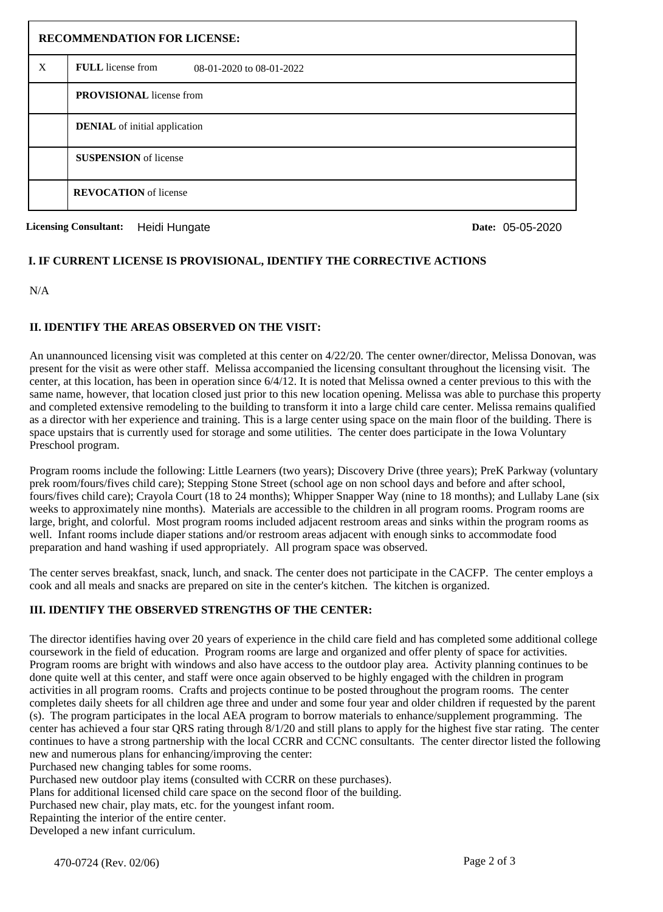| <b>RECOMMENDATION FOR LICENSE:</b> |                                                      |  |  |  |  |
|------------------------------------|------------------------------------------------------|--|--|--|--|
| X                                  | <b>FULL</b> license from<br>08-01-2020 to 08-01-2022 |  |  |  |  |
|                                    | <b>PROVISIONAL</b> license from                      |  |  |  |  |
|                                    | <b>DENIAL</b> of initial application                 |  |  |  |  |
|                                    | <b>SUSPENSION</b> of license                         |  |  |  |  |
|                                    | <b>REVOCATION</b> of license                         |  |  |  |  |

**Licensing Consultant:** Heidi Hungate

Date: 05-05-2020

## **I. IF CURRENT LICENSE IS PROVISIONAL, IDENTIFY THE CORRECTIVE ACTIONS**

N/A

## **II. IDENTIFY THE AREAS OBSERVED ON THE VISIT:**

An unannounced licensing visit was completed at this center on 4/22/20. The center owner/director, Melissa Donovan, was present for the visit as were other staff. Melissa accompanied the licensing consultant throughout the licensing visit. The center, at this location, has been in operation since 6/4/12. It is noted that Melissa owned a center previous to this with the same name, however, that location closed just prior to this new location opening. Melissa was able to purchase this property and completed extensive remodeling to the building to transform it into a large child care center. Melissa remains qualified as a director with her experience and training. This is a large center using space on the main floor of the building. There is space upstairs that is currently used for storage and some utilities. The center does participate in the Iowa Voluntary Preschool program.

Program rooms include the following: Little Learners (two years); Discovery Drive (three years); PreK Parkway (voluntary prek room/fours/fives child care); Stepping Stone Street (school age on non school days and before and after school, fours/fives child care); Crayola Court (18 to 24 months); Whipper Snapper Way (nine to 18 months); and Lullaby Lane (six weeks to approximately nine months). Materials are accessible to the children in all program rooms. Program rooms are large, bright, and colorful. Most program rooms included adjacent restroom areas and sinks within the program rooms as well. Infant rooms include diaper stations and/or restroom areas adjacent with enough sinks to accommodate food preparation and hand washing if used appropriately. All program space was observed.

The center serves breakfast, snack, lunch, and snack. The center does not participate in the CACFP. The center employs a cook and all meals and snacks are prepared on site in the center's kitchen. The kitchen is organized.

# **III. IDENTIFY THE OBSERVED STRENGTHS OF THE CENTER:**

The director identifies having over 20 years of experience in the child care field and has completed some additional college coursework in the field of education. Program rooms are large and organized and offer plenty of space for activities. Program rooms are bright with windows and also have access to the outdoor play area. Activity planning continues to be done quite well at this center, and staff were once again observed to be highly engaged with the children in program activities in all program rooms. Crafts and projects continue to be posted throughout the program rooms. The center completes daily sheets for all children age three and under and some four year and older children if requested by the parent (s). The program participates in the local AEA program to borrow materials to enhance/supplement programming. The center has achieved a four star QRS rating through 8/1/20 and still plans to apply for the highest five star rating. The center continues to have a strong partnership with the local CCRR and CCNC consultants. The center director listed the following new and numerous plans for enhancing/improving the center:

Purchased new changing tables for some rooms.

Purchased new outdoor play items (consulted with CCRR on these purchases).

Plans for additional licensed child care space on the second floor of the building.

Purchased new chair, play mats, etc. for the youngest infant room.

Repainting the interior of the entire center.

Developed a new infant curriculum.